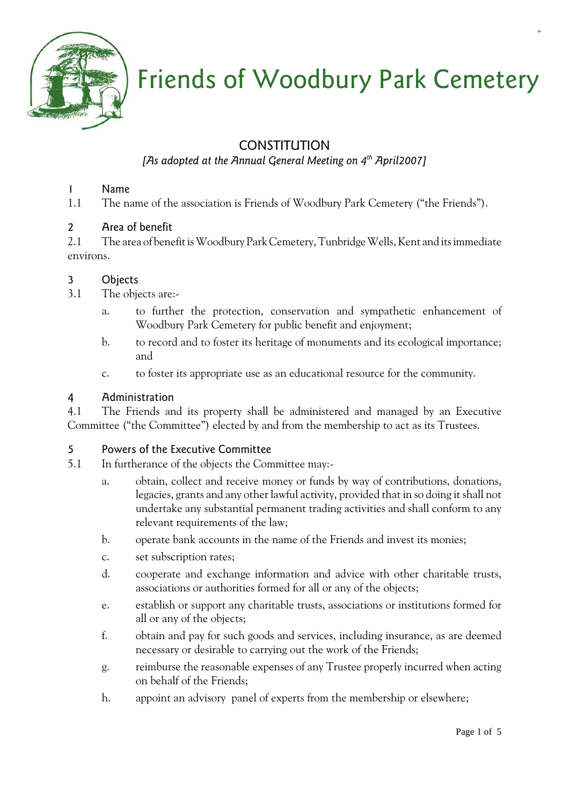

# Friends of Woodbury Park Cemetery

## CONSTITUTION

## *[As adopted at the Annual General Meeting on 4th April2007]*

## 1 Name

1.1 The name of the association is Friends of Woodbury Park Cemetery ("the Friends").

## 2 Area of benefit

2.1 The area of benefit is Woodbury Park Cemetery, Tunbridge Wells, Kent and its immediate environs.

## 3 Objects

- 3.1 The objects are:
	- a. to further the protection, conservation and sympathetic enhancement of Woodbury Park Cemetery for public benefit and enjoyment;
	- b. to record and to foster its heritage of monuments and its ecological importance; and
	- c. to foster its appropriate use as an educational resource for the community.

## 4 Administration

4.1 The Friends and its property shall be administered and managed by an Executive Committee ("the Committee") elected by and from the membership to act as its Trustees.

## 5 Powers of the Executive Committee

- 5.1 In furtherance of the objects the Committee may:
	- a. obtain, collect and receive money or funds by way of contributions, donations, legacies, grants and any other lawful activity, provided that in so doing it shall not undertake any substantial permanent trading activities and shall conform to any relevant requirements of the law;
	- b. operate bank accounts in the name of the Friends and invest its monies;
	- c. set subscription rates;
	- d. cooperate and exchange information and advice with other charitable trusts, associations or authorities formed for all or any of the objects;
	- e. establish or support any charitable trusts, associations or institutions formed for all or any of the objects;
	- f. obtain and pay for such goods and services, including insurance, as are deemed necessary or desirable to carrying out the work of the Friends;
	- g. reimburse the reasonable expenses of any Trustee properly incurred when acting on behalf of the Friends;
	- h. appoint an advisory panel of experts from the membership or elsewhere;

+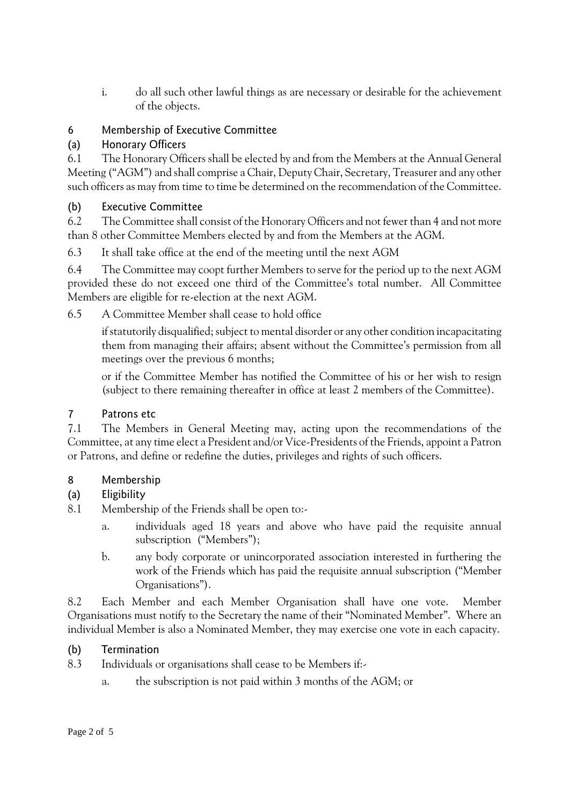i. do all such other lawful things as are necessary or desirable for the achievement of the objects.

## 6 Membership of Executive Committee

## (a) Honorary Officers

6.1 The Honorary Officers shall be elected by and from the Members at the Annual General Meeting ("AGM") and shall comprise a Chair, Deputy Chair, Secretary, Treasurer and any other such officers as may from time to time be determined on the recommendation of the Committee.

## (b) Executive Committee

6.2 The Committee shall consist of the Honorary Officers and not fewer than 4 and not more than 8 other Committee Members elected by and from the Members at the AGM.

6.3 It shall take office at the end of the meeting until the next AGM

6.4 The Committee may coopt further Members to serve for the period up to the next AGM provided these do not exceed one third of the Committee's total number. All Committee Members are eligible for re-election at the next AGM.

6.5 A Committee Member shall cease to hold office

if statutorily disqualified; subject to mental disorder or any other condition incapacitating them from managing their affairs; absent without the Committee's permission from all meetings over the previous 6 months;

or if the Committee Member has notified the Committee of his or her wish to resign (subject to there remaining thereafter in office at least 2 members of the Committee).

## 7 Patrons etc

7.1 The Members in General Meeting may, acting upon the recommendations of the Committee, at any time elect a President and/or Vice-Presidents of the Friends, appoint a Patron or Patrons, and define or redefine the duties, privileges and rights of such officers.

## 8 Membership

## (a) Eligibility

- 8.1 Membership of the Friends shall be open to:
	- a. individuals aged 18 years and above who have paid the requisite annual subscription ("Members");
	- b. any body corporate or unincorporated association interested in furthering the work of the Friends which has paid the requisite annual subscription ("Member Organisations").

8.2 Each Member and each Member Organisation shall have one vote. Member Organisations must notify to the Secretary the name of their "Nominated Member". Where an individual Member is also a Nominated Member, they may exercise one vote in each capacity.

## (b) Termination

- 8.3 Individuals or organisations shall cease to be Members if:
	- a. the subscription is not paid within 3 months of the AGM; or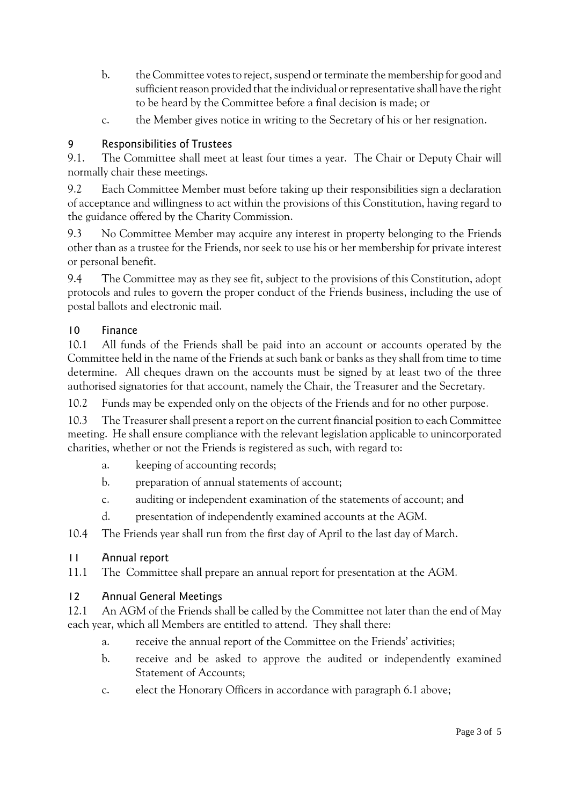- b. the Committee votes to reject, suspend or terminate the membership for good and sufficient reason provided that the individual or representative shall have the right to be heard by the Committee before a final decision is made; or
- c. the Member gives notice in writing to the Secretary of his or her resignation.

## 9 Responsibilities of Trustees

9.1. The Committee shall meet at least four times a year. The Chair or Deputy Chair will normally chair these meetings.

9.2 Each Committee Member must before taking up their responsibilities sign a declaration of acceptance and willingness to act within the provisions of this Constitution, having regard to the guidance offered by the Charity Commission.

9.3 No Committee Member may acquire any interest in property belonging to the Friends other than as a trustee for the Friends, nor seek to use his or her membership for private interest or personal benefit.

9.4 The Committee may as they see fit, subject to the provisions of this Constitution, adopt protocols and rules to govern the proper conduct of the Friends business, including the use of postal ballots and electronic mail.

#### 10 Finance

10.1 All funds of the Friends shall be paid into an account or accounts operated by the Committee held in the name of the Friends at such bank or banks as they shall from time to time determine. All cheques drawn on the accounts must be signed by at least two of the three authorised signatories for that account, namely the Chair, the Treasurer and the Secretary.

10.2 Funds may be expended only on the objects of the Friends and for no other purpose.

10.3 The Treasurer shall present a report on the current financial position to each Committee meeting. He shall ensure compliance with the relevant legislation applicable to unincorporated charities, whether or not the Friends is registered as such, with regard to:

- a. keeping of accounting records;
- b. preparation of annual statements of account;
- c. auditing or independent examination of the statements of account; and
- d. presentation of independently examined accounts at the AGM.

10.4 The Friends year shall run from the first day of April to the last day of March.

## 11 Annual report

11.1 The Committee shall prepare an annual report for presentation at the AGM.

## 12 Annual General Meetings

12.1 An AGM of the Friends shall be called by the Committee not later than the end of May each year, which all Members are entitled to attend. They shall there:

- a. receive the annual report of the Committee on the Friends' activities;
- b. receive and be asked to approve the audited or independently examined Statement of Accounts;
- c. elect the Honorary Officers in accordance with paragraph 6.1 above;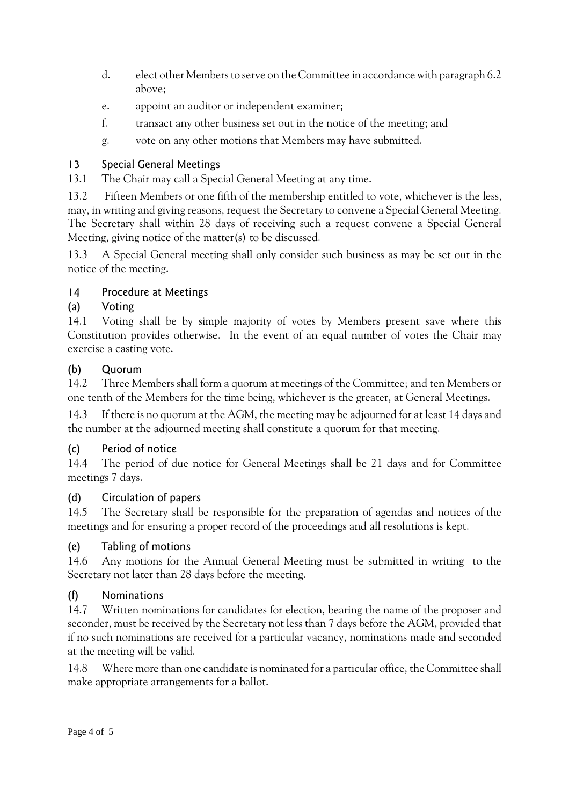- d. elect other Members to serve on the Committee in accordance with paragraph 6.2 above;
- e. appoint an auditor or independent examiner;
- f. transact any other business set out in the notice of the meeting; and
- g. vote on any other motions that Members may have submitted.

## 13 Special General Meetings

13.1 The Chair may call a Special General Meeting at any time.

13.2 Fifteen Members or one fifth of the membership entitled to vote, whichever is the less, may, in writing and giving reasons, request the Secretary to convene a Special General Meeting. The Secretary shall within 28 days of receiving such a request convene a Special General Meeting, giving notice of the matter(s) to be discussed.

13.3 A Special General meeting shall only consider such business as may be set out in the notice of the meeting.

## 14 Procedure at Meetings

## (a) Voting

14.1 Voting shall be by simple majority of votes by Members present save where this Constitution provides otherwise. In the event of an equal number of votes the Chair may exercise a casting vote.

## (b) Quorum

14.2 Three Members shall form a quorum at meetings of the Committee; and ten Members or one tenth of the Members for the time being, whichever is the greater, at General Meetings.

14.3 If there is no quorum at the AGM, the meeting may be adjourned for at least 14 days and the number at the adjourned meeting shall constitute a quorum for that meeting.

## (c) Period of notice

14.4 The period of due notice for General Meetings shall be 21 days and for Committee meetings 7 days.

## (d) Circulation of papers

14.5 The Secretary shall be responsible for the preparation of agendas and notices of the meetings and for ensuring a proper record of the proceedings and all resolutions is kept.

## (e) Tabling of motions

14.6 Any motions for the Annual General Meeting must be submitted in writing to the Secretary not later than 28 days before the meeting.

## (f) Nominations

14.7 Written nominations for candidates for election, bearing the name of the proposer and seconder, must be received by the Secretary not less than 7 days before the AGM, provided that if no such nominations are received for a particular vacancy, nominations made and seconded at the meeting will be valid.

14.8 Where more than one candidate is nominated for a particular office, the Committee shall make appropriate arrangements for a ballot.